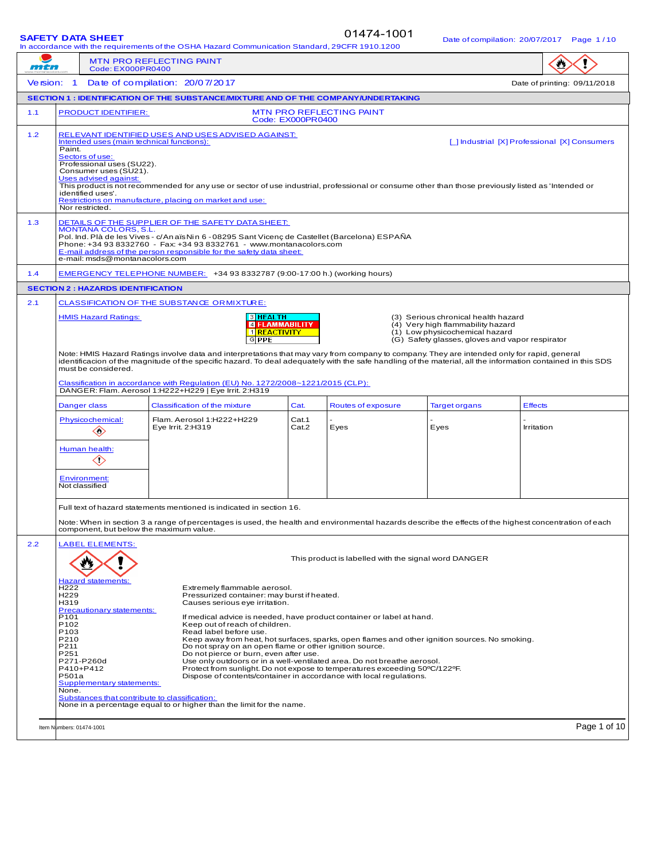01474-1001

| <u> Bulo of compliation. 2010 1720 i 1</u><br>In accordance with the requirements of the OSHA Hazard Communication Standard, 29CFR 1910.1200 |                                                                                                                                                                                                                                                                                                                                                                                                                                                                                                                                                                                                                                                                                                                                                                                                                                                                                                                                                                                                                                                                                                                                                                              |                                                                                                                                                                                                                                                                                                                                                                                                                                                          |                   |                          |                      |                |
|----------------------------------------------------------------------------------------------------------------------------------------------|------------------------------------------------------------------------------------------------------------------------------------------------------------------------------------------------------------------------------------------------------------------------------------------------------------------------------------------------------------------------------------------------------------------------------------------------------------------------------------------------------------------------------------------------------------------------------------------------------------------------------------------------------------------------------------------------------------------------------------------------------------------------------------------------------------------------------------------------------------------------------------------------------------------------------------------------------------------------------------------------------------------------------------------------------------------------------------------------------------------------------------------------------------------------------|----------------------------------------------------------------------------------------------------------------------------------------------------------------------------------------------------------------------------------------------------------------------------------------------------------------------------------------------------------------------------------------------------------------------------------------------------------|-------------------|--------------------------|----------------------|----------------|
| <b>MTN PRO REFLECTING PAINT</b><br>mtn<br>Code: EX000PR0400                                                                                  |                                                                                                                                                                                                                                                                                                                                                                                                                                                                                                                                                                                                                                                                                                                                                                                                                                                                                                                                                                                                                                                                                                                                                                              |                                                                                                                                                                                                                                                                                                                                                                                                                                                          |                   |                          |                      |                |
|                                                                                                                                              | Version: 1 Date of compilation: 20/07/2017<br>Date of printing: 09/11/2018                                                                                                                                                                                                                                                                                                                                                                                                                                                                                                                                                                                                                                                                                                                                                                                                                                                                                                                                                                                                                                                                                                   |                                                                                                                                                                                                                                                                                                                                                                                                                                                          |                   |                          |                      |                |
|                                                                                                                                              |                                                                                                                                                                                                                                                                                                                                                                                                                                                                                                                                                                                                                                                                                                                                                                                                                                                                                                                                                                                                                                                                                                                                                                              | SECTION 1 : IDENTIFICATION OF THE SUBSTANCE/MIXTURE AND OF THE COMPANY/UNDERTAKING                                                                                                                                                                                                                                                                                                                                                                       |                   |                          |                      |                |
| 1.1                                                                                                                                          | <b>PRODUCT IDENTIFIER:</b>                                                                                                                                                                                                                                                                                                                                                                                                                                                                                                                                                                                                                                                                                                                                                                                                                                                                                                                                                                                                                                                                                                                                                   |                                                                                                                                                                                                                                                                                                                                                                                                                                                          | Code: EX000PR0400 | MTN PRO REFLECTING PAINT |                      |                |
| 1.2                                                                                                                                          | RELEVANT IDENTIFIED USES AND USES ADVISED AGAINST:<br>Intended uses (main technical functions):<br>[ ] Industrial [X] Professional [X] Consumers<br>Paint.<br>Sectors of use:<br>Professional uses (SU22).<br>Consumer uses (SU21).<br>Uses advised against:<br>This product is not recommended for any use or sector of use industrial, professional or consume other than those previously listed as 'Intended or<br>identified uses'.<br>Restrictions on manufacture, placing on market and use:<br>Nor restricted.                                                                                                                                                                                                                                                                                                                                                                                                                                                                                                                                                                                                                                                       |                                                                                                                                                                                                                                                                                                                                                                                                                                                          |                   |                          |                      |                |
| 1.3                                                                                                                                          | DETAILS OF THE SUPPLIER OF THE SAFETY DATA SHEET:<br><b>MONTANA COLORS, S.L.</b><br>Pol. Ind. Plà de les Vives - c/An aïs Nin 6 - 08295 Sant Vicenç de Castellet (Barcelona) ESPAÑA<br>Phone: +34 93 8332760 - Fax: +34 93 8332761 - www.montanacolors.com<br>E-mail address of the person responsible for the safety data sheet:<br>e-mail: msds@montanacolors.com                                                                                                                                                                                                                                                                                                                                                                                                                                                                                                                                                                                                                                                                                                                                                                                                          |                                                                                                                                                                                                                                                                                                                                                                                                                                                          |                   |                          |                      |                |
| 1.4                                                                                                                                          |                                                                                                                                                                                                                                                                                                                                                                                                                                                                                                                                                                                                                                                                                                                                                                                                                                                                                                                                                                                                                                                                                                                                                                              | EMERGENCY TELEPHONE NUMBER: +34 93 8332787 (9:00-17:00 h.) (working hours)                                                                                                                                                                                                                                                                                                                                                                               |                   |                          |                      |                |
|                                                                                                                                              | <b>SECTION 2 : HAZARDS IDENTIFICATION</b>                                                                                                                                                                                                                                                                                                                                                                                                                                                                                                                                                                                                                                                                                                                                                                                                                                                                                                                                                                                                                                                                                                                                    |                                                                                                                                                                                                                                                                                                                                                                                                                                                          |                   |                          |                      |                |
| 2.1                                                                                                                                          | <b>CLASSIFICATION OF THE SUBSTANCE OR MIXTURE:</b><br>3 HEALTH<br><b>HMIS Hazard Ratings:</b><br>(3) Serious chronical health hazard<br><b>Z FLAMMABILITY</b><br>(4) Very high flammability hazard<br>1 REACTIVITY<br>(1) Low physicochemical hazard<br>$G$ PPE<br>(G) Safety glasses, gloves and vapor respirator                                                                                                                                                                                                                                                                                                                                                                                                                                                                                                                                                                                                                                                                                                                                                                                                                                                           |                                                                                                                                                                                                                                                                                                                                                                                                                                                          |                   |                          |                      |                |
|                                                                                                                                              | must be considered.                                                                                                                                                                                                                                                                                                                                                                                                                                                                                                                                                                                                                                                                                                                                                                                                                                                                                                                                                                                                                                                                                                                                                          | Note: HMIS Hazard Ratings involve data and interpretations that may vary from company to company. They are intended only for rapid, general<br>identificacion of the magnitude of the specific hazard. To deal adequately with the safe handling of the material, all the information contained in this SDS<br>Classification in accordance with Regulation (EU) No. 1272/2008~1221/2015 (CLP):<br>DANGER: Flam. Aerosol 1:H222+H229   Eye Irrit. 2:H319 |                   |                          |                      |                |
|                                                                                                                                              | Danger class                                                                                                                                                                                                                                                                                                                                                                                                                                                                                                                                                                                                                                                                                                                                                                                                                                                                                                                                                                                                                                                                                                                                                                 | <b>Classification of the mixture</b>                                                                                                                                                                                                                                                                                                                                                                                                                     | Cat.              | Routes of exposure       | <b>Target organs</b> | <b>Effects</b> |
|                                                                                                                                              | Physicochemical:<br>$\diamondsuit$<br>Human health:<br>$\diamondsuit$                                                                                                                                                                                                                                                                                                                                                                                                                                                                                                                                                                                                                                                                                                                                                                                                                                                                                                                                                                                                                                                                                                        | Flam. Aerosol 1:H222+H229<br>Eye Irrit. 2:H319                                                                                                                                                                                                                                                                                                                                                                                                           | Cat.1<br>Cat.2    | Eyes                     | Eyes                 | Irritation     |
|                                                                                                                                              | <b>Environment:</b><br>Not classified                                                                                                                                                                                                                                                                                                                                                                                                                                                                                                                                                                                                                                                                                                                                                                                                                                                                                                                                                                                                                                                                                                                                        |                                                                                                                                                                                                                                                                                                                                                                                                                                                          |                   |                          |                      |                |
|                                                                                                                                              | component, but below the maximum value.                                                                                                                                                                                                                                                                                                                                                                                                                                                                                                                                                                                                                                                                                                                                                                                                                                                                                                                                                                                                                                                                                                                                      | Full text of hazard statements mentioned is indicated in section 16.<br>Note: When in section 3 a range of percentages is used, the health and environmental hazards describe the effects of the highest concentration of each                                                                                                                                                                                                                           |                   |                          |                      |                |
| 2.2                                                                                                                                          | <b>LABEL ELEMENTS:</b><br>This product is labelled with the signal word DANGER<br><b>Hazard statements:</b><br>H <sub>222</sub><br>Extremely flammable aerosol.<br>H <sub>229</sub><br>Pressurized container: may burst if heated.<br>H319<br>Causes serious eye irritation.<br>Precautionary statements:<br>P <sub>101</sub><br>If medical advice is needed, have product container or label at hand.<br>P <sub>102</sub><br>Keep out of reach of children.<br>P <sub>103</sub><br>Read label before use.<br>P210<br>Keep away from heat, hot surfaces, sparks, open flames and other ignition sources. No smoking.<br>P211<br>Do not spray on an open flame or other ignition source.<br>P251<br>Do not pierce or burn, even after use.<br>Use only outdoors or in a well-ventilated area. Do not breathe aerosol.<br>P271-P260d<br>P410+P412<br>Protect from sunlight. Do not expose to temperatures exceeding 50°C/122°F.<br>P501a<br>Dispose of contents/container in accordance with local requlations.<br>Supplementary statements:<br>None.<br>Substances that contribute to classification:<br>None in a percentage equal to or higher than the limit for the name. |                                                                                                                                                                                                                                                                                                                                                                                                                                                          |                   |                          |                      |                |
|                                                                                                                                              | Item Numbers: 01474-1001                                                                                                                                                                                                                                                                                                                                                                                                                                                                                                                                                                                                                                                                                                                                                                                                                                                                                                                                                                                                                                                                                                                                                     |                                                                                                                                                                                                                                                                                                                                                                                                                                                          |                   |                          |                      | Page 1 of 10   |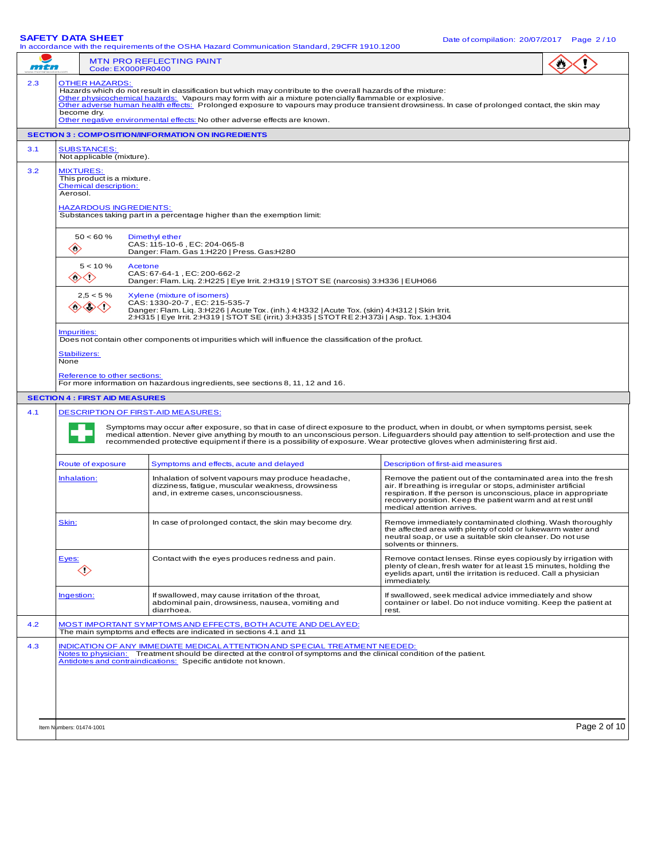|     | . - 9 -<br>In accordance with the requirements of the OSHA Hazard Communication Standard, 29CFR 1910.1200                                                                                                                                                                                                                                                                                                                                                                                      |                                                                                                                                                                                                                                                                                                                                                                                                                   |                                                                                                                                                                                                                                                                                                 |  |  |  |
|-----|------------------------------------------------------------------------------------------------------------------------------------------------------------------------------------------------------------------------------------------------------------------------------------------------------------------------------------------------------------------------------------------------------------------------------------------------------------------------------------------------|-------------------------------------------------------------------------------------------------------------------------------------------------------------------------------------------------------------------------------------------------------------------------------------------------------------------------------------------------------------------------------------------------------------------|-------------------------------------------------------------------------------------------------------------------------------------------------------------------------------------------------------------------------------------------------------------------------------------------------|--|--|--|
| mtn | <b>MTN PRO REFLECTING PAINT</b><br>Code: EX000PR0400                                                                                                                                                                                                                                                                                                                                                                                                                                           |                                                                                                                                                                                                                                                                                                                                                                                                                   |                                                                                                                                                                                                                                                                                                 |  |  |  |
| 2.3 | <b>OTHER HAZARDS:</b><br>Hazards which do not result in classification but which may contribute to the overall hazards of the mixture:<br>Other physicochemical hazards: Vapours may form with air a mixture potencially flammable or explosive.<br>Other adverse human health effects: Prolonged exposure to vapours may produce transient drowsiness. In case of prolonged contact, the skin may<br>become dry.<br>Other negative environmental effects: No other adverse effects are known. |                                                                                                                                                                                                                                                                                                                                                                                                                   |                                                                                                                                                                                                                                                                                                 |  |  |  |
|     |                                                                                                                                                                                                                                                                                                                                                                                                                                                                                                | <b>SECTION 3 : COMPOSITION/INFORMATION ON INGREDIENTS</b>                                                                                                                                                                                                                                                                                                                                                         |                                                                                                                                                                                                                                                                                                 |  |  |  |
| 3.1 | <b>SUBSTANCES:</b><br>Not applicable (mixture).                                                                                                                                                                                                                                                                                                                                                                                                                                                |                                                                                                                                                                                                                                                                                                                                                                                                                   |                                                                                                                                                                                                                                                                                                 |  |  |  |
| 3.2 | <b>MIXTURES:</b><br><b>Chemical description:</b><br>Aerosol.                                                                                                                                                                                                                                                                                                                                                                                                                                   | This product is a mixture.<br><b>HAZARDOUS INGREDIENTS:</b><br>Substances taking part in a percentage higher than the exemption limit:                                                                                                                                                                                                                                                                            |                                                                                                                                                                                                                                                                                                 |  |  |  |
|     | $50 < 60 \%$<br>$\langle \rangle$                                                                                                                                                                                                                                                                                                                                                                                                                                                              | Dimethyl ether<br>CAS: 115-10-6, EC: 204-065-8<br>Danger: Flam. Gas 1:H220   Press. Gas:H280                                                                                                                                                                                                                                                                                                                      |                                                                                                                                                                                                                                                                                                 |  |  |  |
|     | $5 < 10 \%$<br>$\langle \cdot \rangle$<br><>                                                                                                                                                                                                                                                                                                                                                                                                                                                   | Acetone<br>CAS: 67-64-1, EC: 200-662-2<br>Danger: Flam. Liq. 2:H225   Eye Irrit. 2:H319   STOT SE (narcosis) 3:H336   EUH066                                                                                                                                                                                                                                                                                      |                                                                                                                                                                                                                                                                                                 |  |  |  |
|     | $2,5 < 5 \%$<br>◇◇◇◇◇                                                                                                                                                                                                                                                                                                                                                                                                                                                                          | Xylene (mixture of isomers)<br>CAS: 1330-20-7, EC: 215-535-7<br>Danger: Flam. Liq. 3:H226   Acute Tox. (inh.) 4:H332   Acute Tox. (skin) 4:H312   Skin Irrit.<br>2:H315   Eye Irrit. 2:H319   STOT SE (irrit.) 3:H335   STOTRE 2:H373i   Asp. Tox. 1:H304                                                                                                                                                         |                                                                                                                                                                                                                                                                                                 |  |  |  |
|     | Impurities:<br>Stabilizers:<br>None<br>Reference to other sections:                                                                                                                                                                                                                                                                                                                                                                                                                            | Does not contain other components ot impurities which will influence the classification of the profuct.<br>For more information on hazardous ingredients, see sections 8, 11, 12 and 16.                                                                                                                                                                                                                          |                                                                                                                                                                                                                                                                                                 |  |  |  |
|     | <b>SECTION 4 : FIRST AID MEASURES</b>                                                                                                                                                                                                                                                                                                                                                                                                                                                          |                                                                                                                                                                                                                                                                                                                                                                                                                   |                                                                                                                                                                                                                                                                                                 |  |  |  |
| 4.1 | <b>DESCRIPTION OF FIRST-AID MEASURES:</b>                                                                                                                                                                                                                                                                                                                                                                                                                                                      | Symptoms may occur after exposure, so that in case of direct exposure to the product, when in doubt, or when symptoms persist, seek<br>medical attention. Never give anything by mouth to an unconscious person. Lifeguarders should pay attention to self-protection and use the<br>recommended protective equipment if there is a possibility of exposure. Wear protective gloves when administering first aid. |                                                                                                                                                                                                                                                                                                 |  |  |  |
|     | Route of exposure                                                                                                                                                                                                                                                                                                                                                                                                                                                                              | Symptoms and effects, acute and delayed                                                                                                                                                                                                                                                                                                                                                                           | Description of first-aid measures                                                                                                                                                                                                                                                               |  |  |  |
|     | Inhalation:                                                                                                                                                                                                                                                                                                                                                                                                                                                                                    | Inhalation of solvent vapours may produce headache,<br>dizziness, fatigue, muscular weakness, drowsiness<br>and, in extreme cases, unconsciousness.                                                                                                                                                                                                                                                               | Remove the patient out of the contaminated area into the fresh<br>air. If breathing is irregular or stops, administer artificial<br>respiration. If the person is unconscious, place in appropriate<br>recovery position. Keep the patient warm and at rest until<br>medical attention arrives. |  |  |  |
|     | Skin:                                                                                                                                                                                                                                                                                                                                                                                                                                                                                          | In case of prolonged contact, the skin may become dry.                                                                                                                                                                                                                                                                                                                                                            | Remove immediately contaminated clothing. Wash thoroughly<br>the affected area with plenty of cold or lukewarm water and<br>neutral soap, or use a suitable skin cleanser. Do not use<br>solvents or thinners.                                                                                  |  |  |  |
|     | Eyes:<br>$\Leftrightarrow$                                                                                                                                                                                                                                                                                                                                                                                                                                                                     | Contact with the eyes produces redness and pain.                                                                                                                                                                                                                                                                                                                                                                  | Remove contact lenses. Rinse eyes copiously by irrigation with<br>plenty of clean, fresh water for at least 15 minutes, holding the<br>eyelids apart, until the irritation is reduced. Call a physician<br>immediately.                                                                         |  |  |  |
|     | Ingestion:                                                                                                                                                                                                                                                                                                                                                                                                                                                                                     | If swallowed, may cause irritation of the throat,<br>abdominal pain, drowsiness, nausea, vomiting and<br>diarrhoea.                                                                                                                                                                                                                                                                                               | If swallowed, seek medical advice immediately and show<br>container or label. Do not induce vomiting. Keep the patient at<br>rest.                                                                                                                                                              |  |  |  |
| 4.2 |                                                                                                                                                                                                                                                                                                                                                                                                                                                                                                | <u>MOST IMPORTANT SYMPTOMS AND EFFECTS, BOTH ACUTE AND DELAYED:</u>                                                                                                                                                                                                                                                                                                                                               |                                                                                                                                                                                                                                                                                                 |  |  |  |
| 4.3 | The main symptoms and effects are indicated in sections 4.1 and 11<br>INDICATION OF ANY IMMEDIATE MEDICAL ATTENTION AND SPECIAL TREATMENT NEEDED:<br>Notes to physician: Treatment should be directed at the control of symptoms and the clinical condition of the patient.<br>Antidotes and contraindications: Specific antidote not known.                                                                                                                                                   |                                                                                                                                                                                                                                                                                                                                                                                                                   |                                                                                                                                                                                                                                                                                                 |  |  |  |

**SAFETY DATA SHEET** DATA SHEET DATA SHEET DATA SHEET DATA SHEET DATA SHEET DATA SHEET DATA SHEET DATA SHEET DATA SHEET DATA SHEET DATA SHEET DATA SHEET DATA SHEET DATA SHEET DATA SHEET DATA SHEET DATA SHEET DATA SHEET DATA

Item Numbers: 01474-1001 **Page 2 of 10**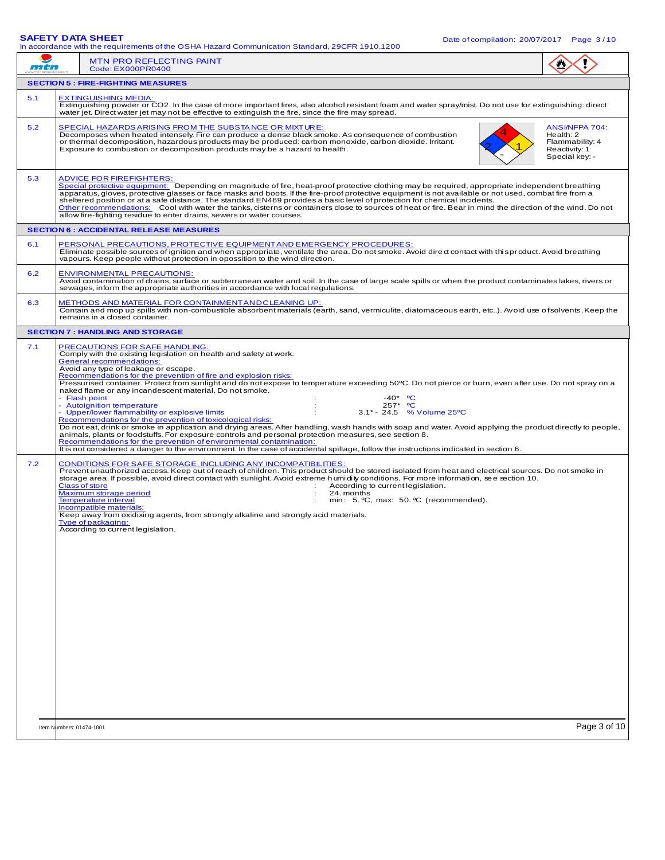# **SAFETY DATA SHEET**

|     | SAFEIT DAIA SHEET<br>Date of compilation: 20/07/2017   Page 3/10<br>In accordance with the requirements of the OSHA Hazard Communication Standard, 29CFR 1910.1200                                                                                                                                                                                                                                                                                                                                                                                                                                                                                                                                                                                                                                                                                                                                                                                                                                                                                                                                                                                           |                                                                                   |  |  |  |
|-----|--------------------------------------------------------------------------------------------------------------------------------------------------------------------------------------------------------------------------------------------------------------------------------------------------------------------------------------------------------------------------------------------------------------------------------------------------------------------------------------------------------------------------------------------------------------------------------------------------------------------------------------------------------------------------------------------------------------------------------------------------------------------------------------------------------------------------------------------------------------------------------------------------------------------------------------------------------------------------------------------------------------------------------------------------------------------------------------------------------------------------------------------------------------|-----------------------------------------------------------------------------------|--|--|--|
| mtn | <b>MTN PRO REFLECTING PAINT</b><br>Code: EX000PR0400                                                                                                                                                                                                                                                                                                                                                                                                                                                                                                                                                                                                                                                                                                                                                                                                                                                                                                                                                                                                                                                                                                         |                                                                                   |  |  |  |
|     | <b>SECTION 5 : FIRE-FIGHTING MEASURES</b>                                                                                                                                                                                                                                                                                                                                                                                                                                                                                                                                                                                                                                                                                                                                                                                                                                                                                                                                                                                                                                                                                                                    |                                                                                   |  |  |  |
| 5.1 | <b>EXTINGUISHING MEDIA:</b><br>Extinguishing powder or CO2. In the case of more important fires, also alcohol resistant foam and water spray/mist. Do not use for extinguishing: direct<br>water jet. Direct water jet may not be effective to extinguish the fire, since the fire may spread.                                                                                                                                                                                                                                                                                                                                                                                                                                                                                                                                                                                                                                                                                                                                                                                                                                                               |                                                                                   |  |  |  |
| 5.2 | SPECIAL HAZARDS ARISING FROM THE SUBSTANCE OR MIXTURE:<br>Decomposes when heated intensely. Fire can produce a dense black smoke. As consequence of combustion<br>or thermal decomposition, hazardous products may be produced: carbon monoxide, carbon dioxide. Irritant.<br>Exposure to combustion or decomposition products may be a hazard to health.                                                                                                                                                                                                                                                                                                                                                                                                                                                                                                                                                                                                                                                                                                                                                                                                    | ANSI/NFPA 704:<br>Health: 2<br>Flammability: 4<br>Reactivity: 1<br>Special key: - |  |  |  |
| 5.3 | <b>ADVICE FOR FIREFIGHTERS:</b><br>Special protective equipment: Depending on magnitude of fire, heat-proof protective clothing may be required, appropriate independent breathing<br>apparatus, gloves, protective glasses or face masks and boots. If the fire-proof protective equipment is not available or not used, combat fire from a<br>sheltered position or at a safe distance. The standard EN469 provides a basic level of protection for chemical incidents.<br>Other recommendations: Cool with water the tanks, cisterns or containers close to sources of heat or fire. Bear in mind the direction of the wind. Do not<br>allow fire-fighting residue to enter drains, sewers or water courses.                                                                                                                                                                                                                                                                                                                                                                                                                                              |                                                                                   |  |  |  |
|     | <b>SECTION 6 : ACCIDENTAL RELEASE MEASURES</b>                                                                                                                                                                                                                                                                                                                                                                                                                                                                                                                                                                                                                                                                                                                                                                                                                                                                                                                                                                                                                                                                                                               |                                                                                   |  |  |  |
| 6.1 | PERSONAL PRECAUTIONS, PROTECTIVE EQUIPMENT AND EMERGENCY PROCEDURES:<br>Eliminate possible sources of ignition and when appropriate, ventilate the area. Do not smoke. Avoid dired contact with thi sproduct. Avoid breathing<br>vapours. Keep people without protection in opossition to the wind direction.                                                                                                                                                                                                                                                                                                                                                                                                                                                                                                                                                                                                                                                                                                                                                                                                                                                |                                                                                   |  |  |  |
| 6.2 | <b>ENVIRONMENTAL PRECAUTIONS:</b><br>Avoid contamination of drains, surface or subterranean water and soil. In the case of large scale spills or when the product contaminates lakes, rivers or<br>sewages, inform the appropriate authorities in accordance with local requlations.                                                                                                                                                                                                                                                                                                                                                                                                                                                                                                                                                                                                                                                                                                                                                                                                                                                                         |                                                                                   |  |  |  |
| 6.3 | METHODS AND MATERIAL FOR CONTAINMENT AN DCLEANING UP:<br>Contain and mop up spills with non-combustible absorbent materials (earth, sand, vermiculite, diatomaceous earth, etc). Avoid use of solvents. Keep the<br>remains in a closed container.                                                                                                                                                                                                                                                                                                                                                                                                                                                                                                                                                                                                                                                                                                                                                                                                                                                                                                           |                                                                                   |  |  |  |
|     | <b>SECTION 7: HANDLING AND STORAGE</b>                                                                                                                                                                                                                                                                                                                                                                                                                                                                                                                                                                                                                                                                                                                                                                                                                                                                                                                                                                                                                                                                                                                       |                                                                                   |  |  |  |
|     | Comply with the existing legislation on health and safety at work.<br><b>General recommendations:</b><br>Avoid any type of leakage or escape.<br>Recommendations for the prevention of fire and explosion risks:<br>Pressurised container. Protect from sunlight and do not expose to temperature exceeding 50°C. Do not pierce or burn, even after use. Do not spray on a<br>naked flame or any incandescent material. Do not smoke.<br>Flash point<br>$-40*$ °C<br><b>Autoignition temperature</b><br>257* <sup>o</sup> C<br>Upper/lower flammability or explosive limits<br>3.1* - 24.5 % Volume 25°C<br>Recommendations for the prevention of toxicological risks:<br>Do not eat, drink or smoke in application and drying areas. After handling, wash hands with soap and water. Avoid applying the product directly to people,<br>animals, plants or foodstuffs. For exposure controls and personal protection measures, see section 8.<br>Recommendations for the prevention of environmental contamination:<br>It is not considered a danger to the environment. In the case of accidental spillage, follow the instructions indicated in section 6. |                                                                                   |  |  |  |
| 7.2 | CONDITIONS FOR SAFE STORAGE, INCLUDING ANY INCOMPATIBILITIES:<br>Prevent unauthorized access. Keep out of reach of children. This product should be stored isolated from heat and electrical sources. Do not smoke in<br>storage area. If possible, avoid direct contact with sunlight. Avoid extreme humidity conditions. For more information, see section 10.<br>Class of store<br>According to current legislation.<br>-11<br>Maximum storage period<br>24. months<br><b>Temperature interval</b><br>min: 5. °C, max: 50. °C (recommended).<br><b>Incompatible materials:</b><br>Keep away from oxidixing agents, from strongly alkaline and strongly acid materials.<br>Type of packaging:<br>According to current legislation.                                                                                                                                                                                                                                                                                                                                                                                                                         |                                                                                   |  |  |  |
|     | Item Numbers: 01474-1001                                                                                                                                                                                                                                                                                                                                                                                                                                                                                                                                                                                                                                                                                                                                                                                                                                                                                                                                                                                                                                                                                                                                     | Page 3 of 10                                                                      |  |  |  |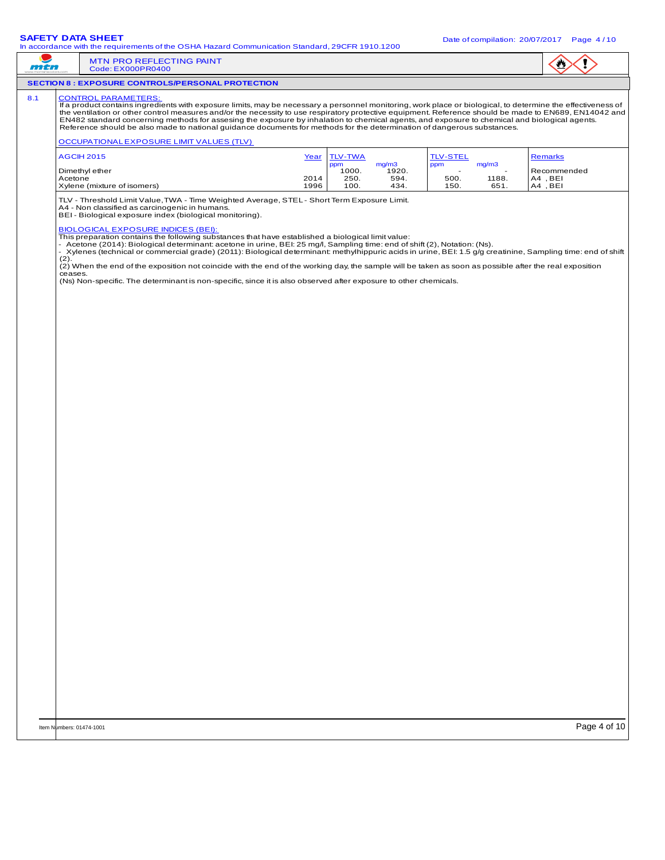|     | - 99<br>In accordance with the requirements of the OSHA Hazard Communication Standard, 29CFR 1910.1200                                                                                                                                                                                                                                                                                                                                                                                                                                                                                                                                                                                                                                                                                                                                                                                                                                                                                                                               |                        |  |  |  |
|-----|--------------------------------------------------------------------------------------------------------------------------------------------------------------------------------------------------------------------------------------------------------------------------------------------------------------------------------------------------------------------------------------------------------------------------------------------------------------------------------------------------------------------------------------------------------------------------------------------------------------------------------------------------------------------------------------------------------------------------------------------------------------------------------------------------------------------------------------------------------------------------------------------------------------------------------------------------------------------------------------------------------------------------------------|------------------------|--|--|--|
| mtn | MTN PRO REFLECTING PAINT<br>Code: EX000PR0400                                                                                                                                                                                                                                                                                                                                                                                                                                                                                                                                                                                                                                                                                                                                                                                                                                                                                                                                                                                        |                        |  |  |  |
|     | <b>SECTION 8 : EXPOSURE CONTROLS/PERSONAL PROTECTION</b>                                                                                                                                                                                                                                                                                                                                                                                                                                                                                                                                                                                                                                                                                                                                                                                                                                                                                                                                                                             |                        |  |  |  |
| 8.1 | <b>CONTROL PARAMETERS:</b><br>If a product contains ingredients with exposure limits, may be necessary a personnel monitoring, work place or biological, to determine the effectiveness of<br>the ventilation or other control measures and/or the necessity to use respiratory protective equipment. Reference should be made to EN689, EN14042 and<br>EN482 standard concerning methods for assesing the exposure by inhalation to chemical agents, and exposure to chemical and biological agents.<br>Reference should be also made to national guidance documents for methods for the determination of dangerous substances.<br><b>OCCUPATIONAL EXPOSURE LIMIT VALUES (TLV)</b>                                                                                                                                                                                                                                                                                                                                                  |                        |  |  |  |
|     | <b>AGCIH 2015</b><br><b>TLV-TWA</b><br><b>TLV-STEL</b><br>Year                                                                                                                                                                                                                                                                                                                                                                                                                                                                                                                                                                                                                                                                                                                                                                                                                                                                                                                                                                       | <b>Remarks</b>         |  |  |  |
|     | ppm<br>mg/m3<br>ppm<br>mg/m3<br>Dimethyl ether<br>1920.<br>1000.<br>Acetone<br>250.<br>594.<br>500.<br>2014<br>1188.                                                                                                                                                                                                                                                                                                                                                                                                                                                                                                                                                                                                                                                                                                                                                                                                                                                                                                                 | Recommended<br>A4, BEI |  |  |  |
|     | Xylene (mixture of isomers)<br>1996<br>100.<br>434.<br>150.<br>651.<br>TLV - Threshold Limit Value, TWA - Time Weighted Average, STEL - Short Term Exposure Limit.<br>A4 - Non classified as carcinogenic in humans.<br>BEI - Biological exposure index (biological monitoring).<br><b>BIOLOGICAL EXPOSURE INDICES (BEI):</b><br>This preparation contains the following substances that have established a biological limit value:<br>- Acetone (2014): Biological determinant: acetone in urine, BEI: 25 mg/l, Sampling time: end of shift (2), Notation: (Ns).<br>- Xylenes (technical or commercial grade) (2011): Biological determinant: methylhippuric acids in urine, BEI: 1.5 g/g creatinine, Sampling time: end of shift<br>(2).<br>(2) When the end of the exposition not coincide with the end of the working day, the sample will be taken as soon as possible after the real exposition<br>ceases.<br>(Ns) Non-specific. The determinant is non-specific, since it is also observed after exposure to other chemicals. | A4, BEI                |  |  |  |
|     |                                                                                                                                                                                                                                                                                                                                                                                                                                                                                                                                                                                                                                                                                                                                                                                                                                                                                                                                                                                                                                      |                        |  |  |  |
|     |                                                                                                                                                                                                                                                                                                                                                                                                                                                                                                                                                                                                                                                                                                                                                                                                                                                                                                                                                                                                                                      |                        |  |  |  |
|     | Item Numbers: 01474-1001                                                                                                                                                                                                                                                                                                                                                                                                                                                                                                                                                                                                                                                                                                                                                                                                                                                                                                                                                                                                             | Page 4 of 10           |  |  |  |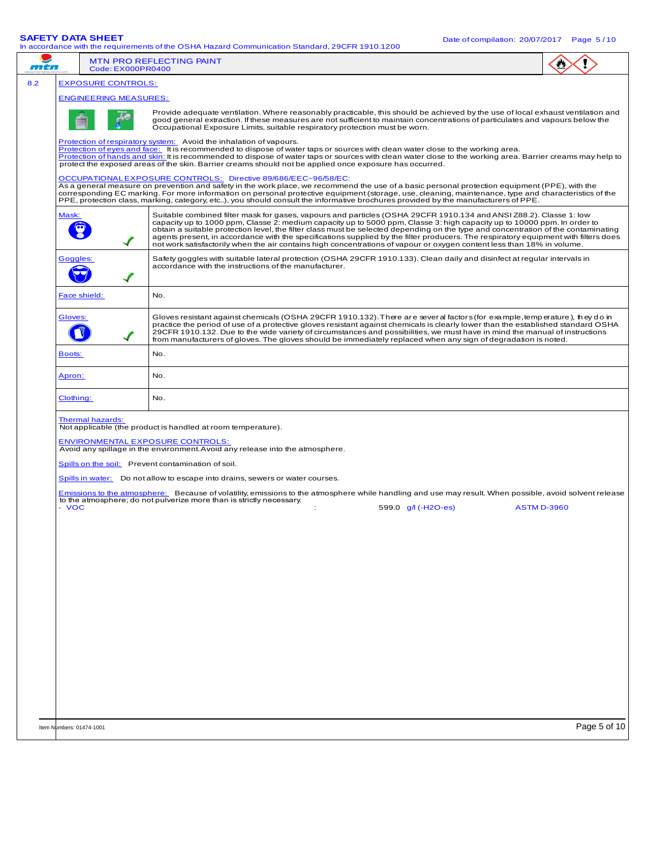**SAFETY DATA SHEET** DATA SHEET DATA SHEET DATA SHEET DATA SHEET DATA SHEET DATA SHEET DATA SHEET DATA SHEET DATA SHEET DATA SHEET DATA SHEET DATA SHEET DATA SHEET DATA SHEET DATA SHEET DATA SHEET DATA SHEET DATA SHEET DATA

|     |                                         | In accordance with the requirements of the OSHA Hazard Communication Standard, 29CFR 1910.1200                                                                                                                                                                                                                                                                                                                                                                                                                                                                                                                                                       |              |  |  |
|-----|-----------------------------------------|------------------------------------------------------------------------------------------------------------------------------------------------------------------------------------------------------------------------------------------------------------------------------------------------------------------------------------------------------------------------------------------------------------------------------------------------------------------------------------------------------------------------------------------------------------------------------------------------------------------------------------------------------|--------------|--|--|
| mtn | Code: EX000PR0400                       | <b>MTN PRO REFLECTING PAINT</b>                                                                                                                                                                                                                                                                                                                                                                                                                                                                                                                                                                                                                      |              |  |  |
| 8.2 | <b>EXPOSURE CONTROLS:</b>               |                                                                                                                                                                                                                                                                                                                                                                                                                                                                                                                                                                                                                                                      |              |  |  |
|     | <b>ENGINEERING MEASURES:</b>            |                                                                                                                                                                                                                                                                                                                                                                                                                                                                                                                                                                                                                                                      |              |  |  |
|     |                                         | Provide adequate ventilation. Where reasonably practicable, this should be achieved by the use of local exhaust ventilation and<br>good general extraction. If these measures are not sufficient to maintain concentrations of particulates and vapours below the<br>Occupational Exposure Limits, suitable respiratory protection must be worn.                                                                                                                                                                                                                                                                                                     |              |  |  |
|     |                                         | Protection of respiratory system: Avoid the inhalation of vapours.<br>Protection of eyes and face: It is recommended to dispose of water taps or sources with clean water close to the working area.<br>Protection of hands and skin: It is recommended to dispose of water taps or sources with clean water close to the working area. Barrier creams may help to<br>protect the exposed areas of the skin. Barrier creams should not be applied once exposure has occurred.                                                                                                                                                                        |              |  |  |
|     |                                         | OCCUPATIONAL EXPOSURE CONTROLS: Directive 89/686/EEC~96/58/EC:<br>As a general measure on prevention and safety in the work place, we recommend the use of a basic personal protection equipment (PPE), with the<br>corresponding EC marking. For more information on personal protective equipment (storage, use, cleaning, maintenance, type and characteristics of the<br>PPE, protection class, marking, category, etc), you should consult the informative brochures provided by the manufacturers of PPE.                                                                                                                                      |              |  |  |
|     | Mask:                                   | Suitable combined filter mask for gases, vapours and particles (OSHA 29CFR 1910.134 and ANSI Z88.2). Classe 1: low<br>capacity up to 1000 ppm, Classe 2: medium capacity up to 5000 ppm, Classe 3: high capacity up to 10000 ppm. In order to<br>obtain a suitable protection level, the filter class must be selected depending on the type and concentration of the contaminating<br>agents present, in accordance with the specifications supplied by the filter producers. The respiratory equipment with filters does<br>not work satisfactorily when the air contains high concentrations of vapour or oxygen content less than 18% in volume. |              |  |  |
|     | Goggles:                                | Safety goggles with suitable lateral protection (OSHA 29CFR 1910.133). Clean daily and disinfect at reqular intervals in<br>accordance with the instructions of the manufacturer.                                                                                                                                                                                                                                                                                                                                                                                                                                                                    |              |  |  |
|     | Face shield:                            | No.                                                                                                                                                                                                                                                                                                                                                                                                                                                                                                                                                                                                                                                  |              |  |  |
|     | Gloves:                                 | Gloves resistant against chemicals (OSHA 29CFR 1910.132). There are several factors (for example, temperature), they do in<br>practice the period of use of a protective gloves resistant against chemicals is clearly lower than the established standard OSHA<br>29CFR 1910.132. Due to the wide variety of circumstances and possibilities, we must have in mind the manual of instructions<br>from manufacturers of gloves. The gloves should be immediately replaced when any sign of degradation is noted.                                                                                                                                     |              |  |  |
|     | Boots:                                  | No.                                                                                                                                                                                                                                                                                                                                                                                                                                                                                                                                                                                                                                                  |              |  |  |
|     | Apron:                                  | No.                                                                                                                                                                                                                                                                                                                                                                                                                                                                                                                                                                                                                                                  |              |  |  |
|     | Clothing:                               | No.                                                                                                                                                                                                                                                                                                                                                                                                                                                                                                                                                                                                                                                  |              |  |  |
|     | <b>Thermal hazards:</b>                 | Not applicable (the product is handled at room temperature).                                                                                                                                                                                                                                                                                                                                                                                                                                                                                                                                                                                         |              |  |  |
|     | <b>ENVIRONMENTAL EXPOSURE CONTROLS:</b> | Avoid any spillage in the environment. Avoid any release into the atmosphere.                                                                                                                                                                                                                                                                                                                                                                                                                                                                                                                                                                        |              |  |  |
|     |                                         | Spills on the soil: Prevent contamination of soil.                                                                                                                                                                                                                                                                                                                                                                                                                                                                                                                                                                                                   |              |  |  |
|     |                                         | Spills in water: Do not allow to escape into drains, sewers or water courses.                                                                                                                                                                                                                                                                                                                                                                                                                                                                                                                                                                        |              |  |  |
|     |                                         | Emissions to the atmosphere: Because of volatility, emissions to the atmosphere while handling and use may result. When possible, avoid solvent release                                                                                                                                                                                                                                                                                                                                                                                                                                                                                              |              |  |  |
|     | - VOC                                   | to the atmosphere; do not pulverize more than is strictly necessary.<br>599.0 g/l (-H2O-es)<br><b>ASTM D-3960</b><br>÷                                                                                                                                                                                                                                                                                                                                                                                                                                                                                                                               |              |  |  |
|     |                                         |                                                                                                                                                                                                                                                                                                                                                                                                                                                                                                                                                                                                                                                      |              |  |  |
|     |                                         |                                                                                                                                                                                                                                                                                                                                                                                                                                                                                                                                                                                                                                                      |              |  |  |
|     |                                         |                                                                                                                                                                                                                                                                                                                                                                                                                                                                                                                                                                                                                                                      |              |  |  |
|     |                                         |                                                                                                                                                                                                                                                                                                                                                                                                                                                                                                                                                                                                                                                      |              |  |  |
|     |                                         |                                                                                                                                                                                                                                                                                                                                                                                                                                                                                                                                                                                                                                                      |              |  |  |
|     |                                         |                                                                                                                                                                                                                                                                                                                                                                                                                                                                                                                                                                                                                                                      |              |  |  |
|     |                                         |                                                                                                                                                                                                                                                                                                                                                                                                                                                                                                                                                                                                                                                      |              |  |  |
|     |                                         |                                                                                                                                                                                                                                                                                                                                                                                                                                                                                                                                                                                                                                                      |              |  |  |
|     |                                         |                                                                                                                                                                                                                                                                                                                                                                                                                                                                                                                                                                                                                                                      |              |  |  |
|     |                                         |                                                                                                                                                                                                                                                                                                                                                                                                                                                                                                                                                                                                                                                      |              |  |  |
|     |                                         |                                                                                                                                                                                                                                                                                                                                                                                                                                                                                                                                                                                                                                                      |              |  |  |
|     |                                         |                                                                                                                                                                                                                                                                                                                                                                                                                                                                                                                                                                                                                                                      |              |  |  |
|     |                                         |                                                                                                                                                                                                                                                                                                                                                                                                                                                                                                                                                                                                                                                      |              |  |  |
|     |                                         |                                                                                                                                                                                                                                                                                                                                                                                                                                                                                                                                                                                                                                                      |              |  |  |
|     | Item Numbers: 01474-1001                |                                                                                                                                                                                                                                                                                                                                                                                                                                                                                                                                                                                                                                                      | Page 5 of 10 |  |  |
|     |                                         |                                                                                                                                                                                                                                                                                                                                                                                                                                                                                                                                                                                                                                                      |              |  |  |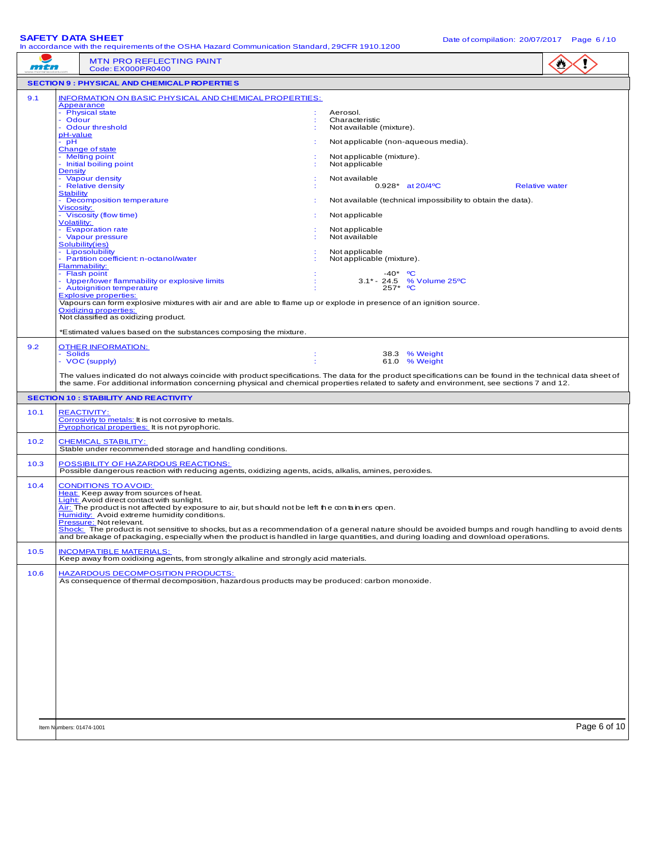**SAFETY DATA SHEET**<br>In accordance with the requirements of the OSHA Hazard Communication Standard, 2005B 1910 1200. Date of compilation: 20/07/2017 Page 6/10 In accordance with the requirements of the OSHA Hazard Communication Standard, 29CFR 1910.1200

|      | In accordance with the requirements of the OSHA Hazard Communication Standard, 29CFR 1910.1200                                                                                                                                                                                                                                                                                                                                                                                                                                                                                                                                                                                                                                                                                                                                                                                                                                                               |                                                                                                                                                                                                                                                                                                                                                                                                                           | -s-                   |
|------|--------------------------------------------------------------------------------------------------------------------------------------------------------------------------------------------------------------------------------------------------------------------------------------------------------------------------------------------------------------------------------------------------------------------------------------------------------------------------------------------------------------------------------------------------------------------------------------------------------------------------------------------------------------------------------------------------------------------------------------------------------------------------------------------------------------------------------------------------------------------------------------------------------------------------------------------------------------|---------------------------------------------------------------------------------------------------------------------------------------------------------------------------------------------------------------------------------------------------------------------------------------------------------------------------------------------------------------------------------------------------------------------------|-----------------------|
| mtn  | <b>MTN PRO REFLECTING PAINT</b><br>Code: EX000PR0400                                                                                                                                                                                                                                                                                                                                                                                                                                                                                                                                                                                                                                                                                                                                                                                                                                                                                                         |                                                                                                                                                                                                                                                                                                                                                                                                                           |                       |
|      | <b>SECTION 9 : PHYSICAL AND CHEMICALP ROPERTIES</b>                                                                                                                                                                                                                                                                                                                                                                                                                                                                                                                                                                                                                                                                                                                                                                                                                                                                                                          |                                                                                                                                                                                                                                                                                                                                                                                                                           |                       |
| 9.1  | <b>INFORMATION ON BASIC PHYSICAL AND CHEMICAL PROPERTIES:</b><br>Appearance<br>- Physical state<br>- Odour<br>- Odour threshold<br>pH-value<br>- pH<br>Change of state<br>- Melting point<br>- Initial boiling point<br><b>Density</b><br>- Vapour density<br>- Relative density<br><b>Stability</b><br>- Decomposition temperature<br><b>Viscosity:</b><br>- Viscosity (flow time)<br><b>Volatility:</b><br>- Evaporation rate<br>- Vapour pressure<br>Solubility(ies)<br>- Liposolubility<br>- Partition coefficient: n-octanol/water<br>Flammability:<br>- Flash point<br>- Upper/lower flammability or explosive limits<br>- Autoignition temperature<br><b>Explosive properties:</b><br>Vapours can form explosive mixtures with air and are able to flame up or explode in presence of an ignition source.<br><b>Oxidizing properties:</b><br>Not classified as oxidizing product.<br>*Estimated values based on the substances composing the mixture. | Aerosol.<br>Characteristic<br>Not available (mixture).<br>Not applicable (non-aqueous media).<br>Not applicable (mixture).<br>Not applicable<br>Not available<br>0.928* at 20/4°C<br>Not available (technical impossibility to obtain the data).<br>Not applicable<br>Not applicable<br>Not available<br>Not applicable<br>Not applicable (mixture).<br>$-40*$ °C<br>3.1* - 24.5 % Volume 25 °C<br>$^{\circ}$ C<br>$257*$ | <b>Relative water</b> |
| 9.2  | <b>OTHER INFORMATION:</b><br>- Solids<br>- VOC (supply)<br>÷<br>The values indicated do not always coincide with product specifications. The data for the product specifications can be found in the technical data sheet of<br>the same. For additional information concerning physical and chemical properties related to safety and environment, see sections 7 and 12.                                                                                                                                                                                                                                                                                                                                                                                                                                                                                                                                                                                   | 38.3 % Weight<br>61.0 % Weight                                                                                                                                                                                                                                                                                                                                                                                            |                       |
|      | <b>SECTION 10 : STABILITY AND REACTIVITY</b>                                                                                                                                                                                                                                                                                                                                                                                                                                                                                                                                                                                                                                                                                                                                                                                                                                                                                                                 |                                                                                                                                                                                                                                                                                                                                                                                                                           |                       |
| 10.1 | <b>REACTIVITY:</b><br>Corrosivity to metals: It is not corrosive to metals.<br><b>Pyrophorical properties:</b> It is not pyrophoric.                                                                                                                                                                                                                                                                                                                                                                                                                                                                                                                                                                                                                                                                                                                                                                                                                         |                                                                                                                                                                                                                                                                                                                                                                                                                           |                       |
| 10.2 | <b>CHEMICAL STABILITY:</b><br>Stable under recommended storage and handling conditions.                                                                                                                                                                                                                                                                                                                                                                                                                                                                                                                                                                                                                                                                                                                                                                                                                                                                      |                                                                                                                                                                                                                                                                                                                                                                                                                           |                       |
| 10.3 | POSSIBILITY OF HAZARDOUS REACTIONS:<br>Possible dangerous reaction with reducing agents, oxidizing agents, acids, alkalis, amines, peroxides.                                                                                                                                                                                                                                                                                                                                                                                                                                                                                                                                                                                                                                                                                                                                                                                                                |                                                                                                                                                                                                                                                                                                                                                                                                                           |                       |
| 10.4 | <b>CONDITIONS TO AVOID:</b><br>Heat: Keep away from sources of heat.<br><b>Light:</b> Avoid direct contact with sunlight.<br>Air: The product is not affected by exposure to air, but should not be left the containers open.<br>Humidity: Avoid extreme humidity conditions.<br>Pressure: Not relevant.<br>_ The product is not sensitive to shocks, but as a recommendation of a general nature should be avoided bumps and rough handling to avoid dents<br>and breakage of packaging, especially when the product is handled in large quantities, and during loading and download operations.                                                                                                                                                                                                                                                                                                                                                            |                                                                                                                                                                                                                                                                                                                                                                                                                           |                       |
| 10.5 | <b>INCOMPATIBLE MATERIALS:</b><br>Keep away from oxidixing agents, from strongly alkaline and strongly acid materials.                                                                                                                                                                                                                                                                                                                                                                                                                                                                                                                                                                                                                                                                                                                                                                                                                                       |                                                                                                                                                                                                                                                                                                                                                                                                                           |                       |
| 10.6 | <b>HAZARDOUS DECOMPOSITION PRODUCTS:</b><br>As consequence of thermal decomposition, hazardous products may be produced: carbon monoxide.                                                                                                                                                                                                                                                                                                                                                                                                                                                                                                                                                                                                                                                                                                                                                                                                                    |                                                                                                                                                                                                                                                                                                                                                                                                                           |                       |
|      | Item Numbers: 01474-1001                                                                                                                                                                                                                                                                                                                                                                                                                                                                                                                                                                                                                                                                                                                                                                                                                                                                                                                                     |                                                                                                                                                                                                                                                                                                                                                                                                                           | Page 6 of 10          |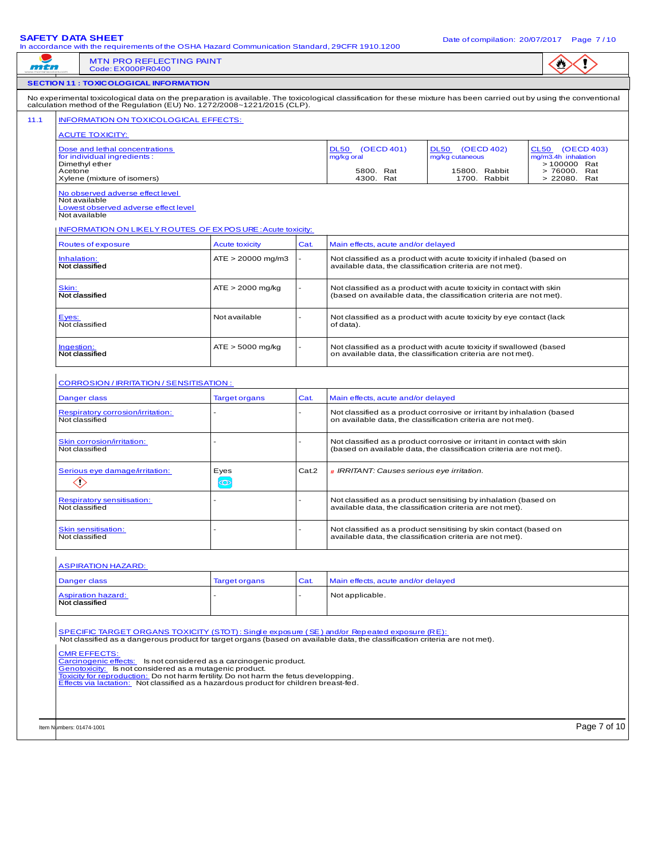|                                                                                                                                                                                                                                                                                                                                                                                                                                                                                                                                                                     | In accordance with the requirements of the OSHA Hazard Communication Standard, 29CFR 1910.1200                                                                                                                                                                                                    |                       |       |                                                                                                                                        |                                                                                                                                               |                                                        |
|---------------------------------------------------------------------------------------------------------------------------------------------------------------------------------------------------------------------------------------------------------------------------------------------------------------------------------------------------------------------------------------------------------------------------------------------------------------------------------------------------------------------------------------------------------------------|---------------------------------------------------------------------------------------------------------------------------------------------------------------------------------------------------------------------------------------------------------------------------------------------------|-----------------------|-------|----------------------------------------------------------------------------------------------------------------------------------------|-----------------------------------------------------------------------------------------------------------------------------------------------|--------------------------------------------------------|
| mtn                                                                                                                                                                                                                                                                                                                                                                                                                                                                                                                                                                 | <b>MTN PRO REFLECTING PAINT</b><br>Code: EX000PR0400                                                                                                                                                                                                                                              |                       |       |                                                                                                                                        |                                                                                                                                               |                                                        |
|                                                                                                                                                                                                                                                                                                                                                                                                                                                                                                                                                                     | <b>SECTION 11 : TOXICOLOGICAL INFORMATION</b>                                                                                                                                                                                                                                                     |                       |       |                                                                                                                                        |                                                                                                                                               |                                                        |
| 11.1                                                                                                                                                                                                                                                                                                                                                                                                                                                                                                                                                                | No experimental toxicological data on the preparation is available. The toxicological classification for these mixture has been carried out by using the conventional<br>calculation method of the Regulation (EU) No. 1272/2008~1221/2015 (CLP).<br><b>INFORMATION ON TOXICOLOGICAL EFFECTS:</b> |                       |       |                                                                                                                                        |                                                                                                                                               |                                                        |
|                                                                                                                                                                                                                                                                                                                                                                                                                                                                                                                                                                     | <b>ACUTE TOXICITY:</b><br>Dose and lethal concentrations<br>for individual ingredients:<br>Dimethyl ether                                                                                                                                                                                         |                       |       | DL50 (OECD 401)<br>mg/kg oral                                                                                                          | DL50 (OECD 402)<br>mg/kg cutaneous                                                                                                            | CL50 (OECD 403)<br>mg/m3.4h inhalation<br>> 100000 Rat |
|                                                                                                                                                                                                                                                                                                                                                                                                                                                                                                                                                                     | Acetone<br>Xylene (mixture of isomers)                                                                                                                                                                                                                                                            |                       |       | 5800. Rat<br>4300. Rat                                                                                                                 | 15800. Rabbit<br>1700. Rabbit                                                                                                                 | > 76000. Rat<br>> 22080. Rat                           |
|                                                                                                                                                                                                                                                                                                                                                                                                                                                                                                                                                                     | No observed adverse effect level<br>Not available<br>Lowest observed adverse effect level<br>Not available<br><b>INFORMATION ON LIKELY ROUTES OF EX POS URE: Acute toxicity:</b>                                                                                                                  |                       |       |                                                                                                                                        |                                                                                                                                               |                                                        |
|                                                                                                                                                                                                                                                                                                                                                                                                                                                                                                                                                                     | Routes of exposure                                                                                                                                                                                                                                                                                | <b>Acute toxicity</b> | Cat.  | Main effects, acute and/or delayed                                                                                                     |                                                                                                                                               |                                                        |
|                                                                                                                                                                                                                                                                                                                                                                                                                                                                                                                                                                     | Inhalation:<br>Not classified                                                                                                                                                                                                                                                                     | $ATE > 20000$ mg/m3   |       |                                                                                                                                        | Not classified as a product with acute toxicity if inhaled (based on<br>available data, the classification criteria are not met).             |                                                        |
| $ATE > 2000$ mg/kg<br>Skin:<br>Not classified as a product with acute toxicity in contact with skin<br>Not classified<br>(based on available data, the classification criteria are not met).                                                                                                                                                                                                                                                                                                                                                                        |                                                                                                                                                                                                                                                                                                   |                       |       |                                                                                                                                        |                                                                                                                                               |                                                        |
|                                                                                                                                                                                                                                                                                                                                                                                                                                                                                                                                                                     | Eyes:<br>Not classified                                                                                                                                                                                                                                                                           | Not available         |       | Not classified as a product with acute toxicity by eye contact (lack<br>of data).                                                      |                                                                                                                                               |                                                        |
|                                                                                                                                                                                                                                                                                                                                                                                                                                                                                                                                                                     | Ingestion:<br>Not classified                                                                                                                                                                                                                                                                      | $ATE > 5000$ mg/kg    |       | Not classified as a product with acute toxicity if swallowed (based<br>on available data, the classification criteria are not met).    |                                                                                                                                               |                                                        |
|                                                                                                                                                                                                                                                                                                                                                                                                                                                                                                                                                                     | CORROSION / IRRITATION / SENSITISATION :                                                                                                                                                                                                                                                          |                       |       |                                                                                                                                        |                                                                                                                                               |                                                        |
|                                                                                                                                                                                                                                                                                                                                                                                                                                                                                                                                                                     | Danger class                                                                                                                                                                                                                                                                                      | <b>Target organs</b>  | Cat.  | Main effects, acute and/or delayed                                                                                                     |                                                                                                                                               |                                                        |
|                                                                                                                                                                                                                                                                                                                                                                                                                                                                                                                                                                     | <b>Respiratory corrosion/irritation:</b><br>Not classified                                                                                                                                                                                                                                        |                       |       | Not classified as a product corrosive or irritant by inhalation (based<br>on available data, the classification criteria are not met). |                                                                                                                                               |                                                        |
|                                                                                                                                                                                                                                                                                                                                                                                                                                                                                                                                                                     | Skin corrosion/irritation:<br>Not classified                                                                                                                                                                                                                                                      |                       |       |                                                                                                                                        | Not classified as a product corrosive or irritant in contact with skin<br>(based on available data, the classification criteria are not met). |                                                        |
|                                                                                                                                                                                                                                                                                                                                                                                                                                                                                                                                                                     | Serious eye damage/irritation:<br>$\diamondsuit$                                                                                                                                                                                                                                                  | Eyes<br>$\bigcirc$    | Cat.2 | # IRRITANT: Causes serious eye irritation.                                                                                             |                                                                                                                                               |                                                        |
|                                                                                                                                                                                                                                                                                                                                                                                                                                                                                                                                                                     | <b>Respiratory sensitisation:</b><br>Not classified                                                                                                                                                                                                                                               |                       |       |                                                                                                                                        | Not classified as a product sensitising by inhalation (based on<br>available data, the classification criteria are not met).                  |                                                        |
|                                                                                                                                                                                                                                                                                                                                                                                                                                                                                                                                                                     | <b>Skin sensitisation:</b><br>Not classified                                                                                                                                                                                                                                                      |                       |       |                                                                                                                                        | Not classified as a product sensitising by skin contact (based on<br>available data, the classification criteria are not met).                |                                                        |
|                                                                                                                                                                                                                                                                                                                                                                                                                                                                                                                                                                     | <b>ASPIRATION HAZARD:</b>                                                                                                                                                                                                                                                                         |                       |       |                                                                                                                                        |                                                                                                                                               |                                                        |
|                                                                                                                                                                                                                                                                                                                                                                                                                                                                                                                                                                     | Danger class                                                                                                                                                                                                                                                                                      | <b>Target organs</b>  | Cat.  | Main effects, acute and/or delayed                                                                                                     |                                                                                                                                               |                                                        |
|                                                                                                                                                                                                                                                                                                                                                                                                                                                                                                                                                                     | <b>Aspiration hazard:</b><br>Not classified                                                                                                                                                                                                                                                       |                       |       | Not applicable.                                                                                                                        |                                                                                                                                               |                                                        |
| SPECIFIC TARGET ORGANS TOXICITY (STOT): Single exposure (SE) and/or Repeated exposure (RE):<br>Not classified as a dangerous product for target organs (based on available data, the classification criteria are not met).<br><b>CMR EFFECTS:</b><br>Carcinogenic effects: Is not considered as a carcinogenic product.<br>Genotoxicity: Is not considered as a mutagenic product.<br>Toxicity for reproduction: Do not harm fertility. Do not harm the fetus developping.<br>Effects via lactation: Not classified as a hazardous product for children breast-fed. |                                                                                                                                                                                                                                                                                                   |                       |       |                                                                                                                                        |                                                                                                                                               |                                                        |
|                                                                                                                                                                                                                                                                                                                                                                                                                                                                                                                                                                     | Item Numbers: 01474-1001                                                                                                                                                                                                                                                                          |                       |       |                                                                                                                                        |                                                                                                                                               | Page 7 of 10                                           |
|                                                                                                                                                                                                                                                                                                                                                                                                                                                                                                                                                                     |                                                                                                                                                                                                                                                                                                   |                       |       |                                                                                                                                        |                                                                                                                                               |                                                        |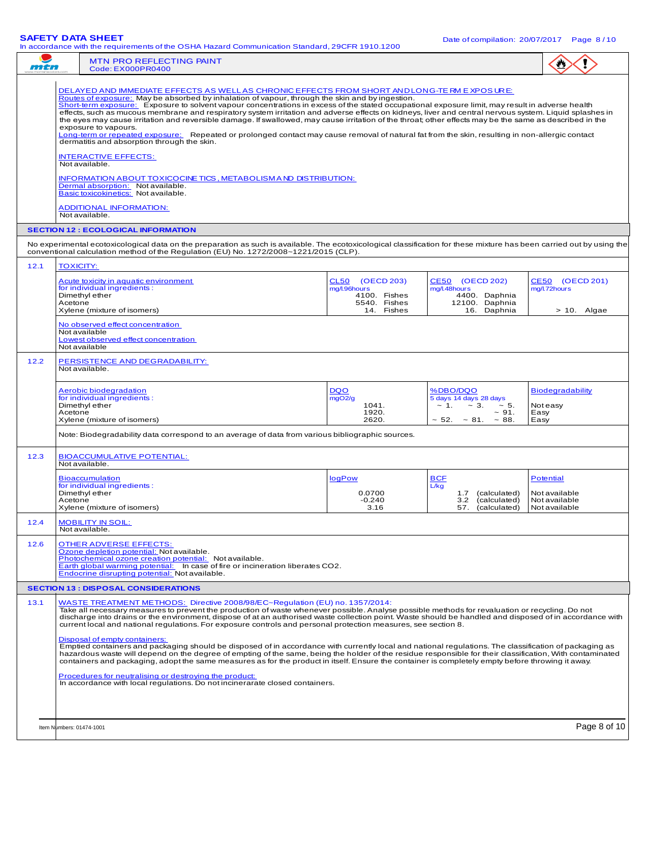|      | <b>SAFETY DATA SHEET</b><br>In accordance with the requirements of the OSHA Hazard Communication Standard, 29CFR 1910.1200                                                                                                                                                                                                                                                                                                                                                                                                                                                                                                                                                                                                                                                                                                                                                                                                                                                                                                       |                                                                               |                                                                                                              | Date of compilation: 20/07/2017  Page 8/10                          |
|------|----------------------------------------------------------------------------------------------------------------------------------------------------------------------------------------------------------------------------------------------------------------------------------------------------------------------------------------------------------------------------------------------------------------------------------------------------------------------------------------------------------------------------------------------------------------------------------------------------------------------------------------------------------------------------------------------------------------------------------------------------------------------------------------------------------------------------------------------------------------------------------------------------------------------------------------------------------------------------------------------------------------------------------|-------------------------------------------------------------------------------|--------------------------------------------------------------------------------------------------------------|---------------------------------------------------------------------|
| mtn  | <b>MTN PRO REFLECTING PAINT</b><br>Code: EX000PR0400                                                                                                                                                                                                                                                                                                                                                                                                                                                                                                                                                                                                                                                                                                                                                                                                                                                                                                                                                                             |                                                                               |                                                                                                              |                                                                     |
|      | <u>DELAYED AND IMMEDIATE EFFECTS AS WELLAS CHRONIC EFFECTS FROM SHORT ANDLONG-TE RM E XPOS UR E:</u><br>Routes of exposure: May be absorbed by inhalation of vapour, through the skin and by ingestion.<br>Short-term exposure: Exposure to solvent vapour concentrations in excess of the stated occupational exposure limit, may result in adverse health<br>effects, such as mucous membrane and respiratory system irritation and adverse effects on kidneys, liver and central nervous system. Liquid splashes in<br>the eyes may cause irritation and reversible damage. If swallowed, may cause irritation of the throat; other effects may be the same as described in the<br>exposure to vapours.<br>Long-term or repeated exposure: Repeated or prolonged contact may cause removal of natural fat from the skin, resulting in non-allergic contact<br>dermatitis and absorption through the skin.<br><b>INTERACTIVE EFFECTS:</b><br>Not available.<br>INFORMATION ABOUT TOXICOCINE TICS, METABOLISM AND DISTRIBUTION: |                                                                               |                                                                                                              |                                                                     |
|      | Dermal absorption: Not available.<br>Basic toxicokinetics: Not available.<br><b>ADDITIONAL INFORMATION:</b>                                                                                                                                                                                                                                                                                                                                                                                                                                                                                                                                                                                                                                                                                                                                                                                                                                                                                                                      |                                                                               |                                                                                                              |                                                                     |
|      | Not available.<br><b>SECTION 12 : ECOLOGICAL INFORMATION</b>                                                                                                                                                                                                                                                                                                                                                                                                                                                                                                                                                                                                                                                                                                                                                                                                                                                                                                                                                                     |                                                                               |                                                                                                              |                                                                     |
|      | No experimental ecotoxicological data on the preparation as such is available. The ecotoxicological classification for these mixture has been carried out by using the                                                                                                                                                                                                                                                                                                                                                                                                                                                                                                                                                                                                                                                                                                                                                                                                                                                           |                                                                               |                                                                                                              |                                                                     |
|      | conventional calculation method of the Regulation (EU) No. 1272/2008~1221/2015 (CLP).<br><b>TOXICITY:</b>                                                                                                                                                                                                                                                                                                                                                                                                                                                                                                                                                                                                                                                                                                                                                                                                                                                                                                                        |                                                                               |                                                                                                              |                                                                     |
| 12.1 | Acute toxicity in aquatic environment<br>for individual ingredients:<br>Dimethyl ether<br>Acetone<br>Xylene (mixture of isomers)                                                                                                                                                                                                                                                                                                                                                                                                                                                                                                                                                                                                                                                                                                                                                                                                                                                                                                 | CL50 (OECD 203)<br>mg/l.96hours<br>4100. Fishes<br>5540. Fishes<br>14. Fishes | CE50 (OECD 202)<br>mg/l.48hours<br>4400. Daphnia<br>12100. Daphnia<br>16. Daphnia                            | CE50 (OECD 201)<br>mg/l.72hours<br>$> 10$ . Algae                   |
|      | No observed effect concentration<br>Not available<br>Lowest observed effect concentration<br>Not available                                                                                                                                                                                                                                                                                                                                                                                                                                                                                                                                                                                                                                                                                                                                                                                                                                                                                                                       |                                                                               |                                                                                                              |                                                                     |
| 12.2 | PERSISTENCE AND DEGRADABILITY:<br>Not available.                                                                                                                                                                                                                                                                                                                                                                                                                                                                                                                                                                                                                                                                                                                                                                                                                                                                                                                                                                                 |                                                                               |                                                                                                              |                                                                     |
|      | Aerobic biodegradation<br>for individual ingredients:<br>Dimethyl ether<br>Acetone<br>Xylene (mixture of isomers)                                                                                                                                                                                                                                                                                                                                                                                                                                                                                                                                                                                                                                                                                                                                                                                                                                                                                                                | <b>DQO</b><br>mgO2/g<br>1041.<br>1920.<br>2620.                               | %DBO/DQO<br>5 days 14 days 28 days<br>$-5.$<br>$\sim 1. \sim 3.$<br>~1.4<br>$\sim$ 52. $\sim$ 81. $\sim$ 88. | <b>Biodegradability</b><br>Not easy<br>Easy<br>Easy                 |
|      | Note: Biodegradability data correspond to an average of data from various bibliographic sources.                                                                                                                                                                                                                                                                                                                                                                                                                                                                                                                                                                                                                                                                                                                                                                                                                                                                                                                                 |                                                                               |                                                                                                              |                                                                     |
| 12.3 | <b>BIOACCUMULATIVE POTENTIAL:</b><br>Not available.                                                                                                                                                                                                                                                                                                                                                                                                                                                                                                                                                                                                                                                                                                                                                                                                                                                                                                                                                                              |                                                                               |                                                                                                              |                                                                     |
|      | <b>Bioaccumulation</b><br>for individual ingredients:<br>Dimethyl ether<br>Acetone<br>Xylene (mixture of isomers)                                                                                                                                                                                                                                                                                                                                                                                                                                                                                                                                                                                                                                                                                                                                                                                                                                                                                                                | logPow<br>0.0700<br>$-0.240$<br>3.16                                          | <b>BCF</b><br>L/kg<br>(calculated)<br>1.7<br>3.2<br>(calculated)<br>57.<br>(calculated)                      | <b>Potential</b><br>Not available<br>Not available<br>Not available |
| 12.4 | <u>MOBILITY IN SOIL:</u><br>Not available.                                                                                                                                                                                                                                                                                                                                                                                                                                                                                                                                                                                                                                                                                                                                                                                                                                                                                                                                                                                       |                                                                               |                                                                                                              |                                                                     |
| 12.6 | <b>OTHER ADVERSE EFFECTS:</b><br>Ozone depletion potential: Not available.<br>Photochemical ozone creation potential: Not available.<br>Earth global warming potential: In case of fire or incineration liberates CO2.<br>Endocrine disrupting potential: Not available.                                                                                                                                                                                                                                                                                                                                                                                                                                                                                                                                                                                                                                                                                                                                                         |                                                                               |                                                                                                              |                                                                     |
|      | <b>SECTION 13 : DISPOSAL CONSIDERATIONS</b>                                                                                                                                                                                                                                                                                                                                                                                                                                                                                                                                                                                                                                                                                                                                                                                                                                                                                                                                                                                      |                                                                               |                                                                                                              |                                                                     |
| 13.1 | WASTE TREATMENT METHODS: Directive 2008/98/EC~Regulation (EU) no. 1357/2014:<br>Take all necessary measures to prevent the production of waste whenever possible. Analyse possible methods for revaluation or recycling. Do not<br>discharge into drains or the environment, dispose of at an authorised waste collection point. Waste should be handled and disposed of in accordance with<br>current local and national regulations. For exposure controls and personal protection measures, see section 8.<br>Disposal of empty containers:<br>Emptied containers and packaging should be disposed of in accordance with currently local and national regulations. The classification of packaging as<br>hazardous waste will depend on the degree of empting of the same, being the holder of the residue responsible for their classification, With contaminated                                                                                                                                                            |                                                                               |                                                                                                              |                                                                     |
|      | containers and packaging, adopt the same measures as for the product in itself. Ensure the container is completely empty before throwing it away.<br>Procedures for neutralising or destroying the product:<br>In accordance with local regulations. Do not incinerarate closed containers.                                                                                                                                                                                                                                                                                                                                                                                                                                                                                                                                                                                                                                                                                                                                      |                                                                               |                                                                                                              |                                                                     |
|      | Item Numbers: 01474-1001                                                                                                                                                                                                                                                                                                                                                                                                                                                                                                                                                                                                                                                                                                                                                                                                                                                                                                                                                                                                         |                                                                               |                                                                                                              | Page 8 of 10                                                        |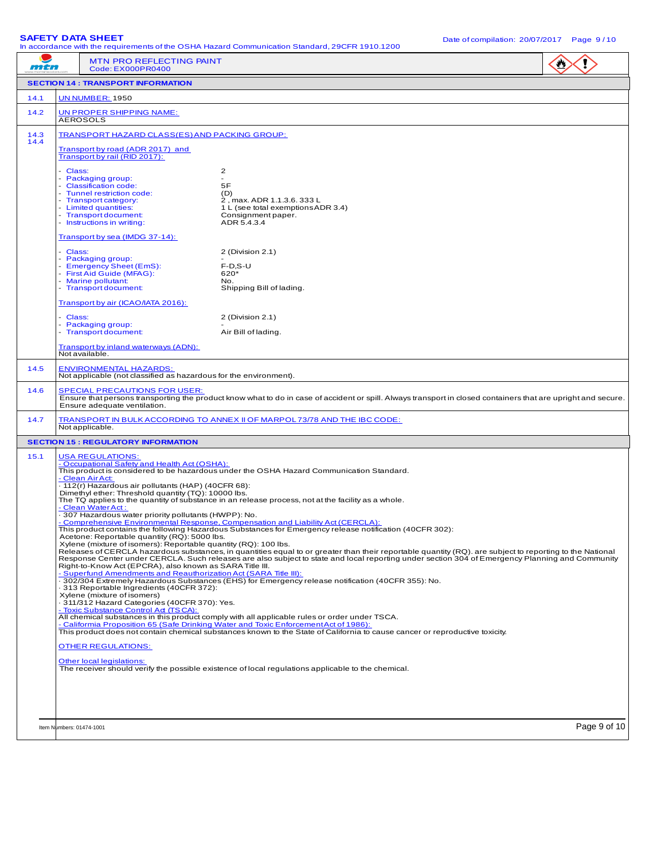**SAFETY DATA SHEET**<br>In accordance with the requirements of the OSHA Hazard Communication Standard, 29CFR 1910.1200

|              |                                                                                                                                                                                               | In accordance with the requirements of the OSHA Hazard Communication Standard, 29CFR 1910.1200                                                                                                                                                                                                              |              |
|--------------|-----------------------------------------------------------------------------------------------------------------------------------------------------------------------------------------------|-------------------------------------------------------------------------------------------------------------------------------------------------------------------------------------------------------------------------------------------------------------------------------------------------------------|--------------|
| mtn          | <b>MTN PRO REFLECTING PAINT</b><br>Code: EX000PR0400                                                                                                                                          |                                                                                                                                                                                                                                                                                                             |              |
|              | <b>SECTION 14 : TRANSPORT INFORMATION</b>                                                                                                                                                     |                                                                                                                                                                                                                                                                                                             |              |
| 14.1         | <b>UN NUMBER: 1950</b>                                                                                                                                                                        |                                                                                                                                                                                                                                                                                                             |              |
| 14.2         | UN PROPER SHIPPING NAME:<br><b>AEROSOLS</b>                                                                                                                                                   |                                                                                                                                                                                                                                                                                                             |              |
| 14.3<br>14.4 | TRANSPORT HAZARD CLASS(ES) AND PACKING GROUP:                                                                                                                                                 |                                                                                                                                                                                                                                                                                                             |              |
|              | Transport by road (ADR 2017) and<br>Transport by rail (RID 2017):                                                                                                                             |                                                                                                                                                                                                                                                                                                             |              |
|              | - Class:                                                                                                                                                                                      | 2                                                                                                                                                                                                                                                                                                           |              |
|              | - Packaging group:<br>- Classification code:                                                                                                                                                  | 5F                                                                                                                                                                                                                                                                                                          |              |
|              | - Tunnel restriction code:<br>- Transport category:                                                                                                                                           | (D)<br>2. max. ADR 1.1.3.6.333 L                                                                                                                                                                                                                                                                            |              |
|              | - Limited quantities:<br>- Transport document:                                                                                                                                                | 1 L (see total exemptions ADR 3.4)<br>Consignment paper.                                                                                                                                                                                                                                                    |              |
|              | - Instructions in writing:                                                                                                                                                                    | ADR 5.4.3.4                                                                                                                                                                                                                                                                                                 |              |
|              | Transport by sea (IMDG 37-14):                                                                                                                                                                |                                                                                                                                                                                                                                                                                                             |              |
|              | - Class:<br>- Packaging group:                                                                                                                                                                | 2 (Division 2.1)                                                                                                                                                                                                                                                                                            |              |
|              | - Emergency Sheet (EmS):<br>- First Aid Guide (MFAG):                                                                                                                                         | $F-D, S-U$<br>620*                                                                                                                                                                                                                                                                                          |              |
|              | - Marine pollutant:<br>- Transport document:                                                                                                                                                  | No.<br>Shipping Bill of lading.                                                                                                                                                                                                                                                                             |              |
|              | Transport by air (ICAO/IATA 2016):                                                                                                                                                            |                                                                                                                                                                                                                                                                                                             |              |
|              | - Class:                                                                                                                                                                                      | 2 (Division 2.1)                                                                                                                                                                                                                                                                                            |              |
|              | - Packaging group:<br>- Transport document:                                                                                                                                                   | Air Bill of lading.                                                                                                                                                                                                                                                                                         |              |
|              | Transport by inland waterways (ADN):<br>Not available.                                                                                                                                        |                                                                                                                                                                                                                                                                                                             |              |
| 14.5         | <b>ENVIRONMENTAL HAZARDS:</b><br>Not applicable (not classified as hazardous for the environment).                                                                                            |                                                                                                                                                                                                                                                                                                             |              |
| 14.6         | <b>SPECIAL PRECAUTIONS FOR USER:</b>                                                                                                                                                          |                                                                                                                                                                                                                                                                                                             |              |
|              | Ensure that persons transporting the product know what to do in case of accident or spill. Always transport in closed containers that are upright and secure.<br>Ensure adequate ventilation. |                                                                                                                                                                                                                                                                                                             |              |
| 14.7         | Not applicable.                                                                                                                                                                               | TRANSPORT IN BULK ACCORDING TO ANNEX II OF MARPOL73/78 AND THE IBC CODE:                                                                                                                                                                                                                                    |              |
|              | <b>SECTION 15: REGULATORY INFORMATION</b>                                                                                                                                                     |                                                                                                                                                                                                                                                                                                             |              |
| 15.1         | <b>USA REGULATIONS:</b><br>- Occupational Safety and Health Act (OSHA):                                                                                                                       |                                                                                                                                                                                                                                                                                                             |              |
|              |                                                                                                                                                                                               | This product is considered to be hazardous under the OSHA Hazard Communication Standard.                                                                                                                                                                                                                    |              |
|              | - Clean Air Act:<br>- 112(r) Hazardous air pollutants (HAP) (40CFR 68):                                                                                                                       |                                                                                                                                                                                                                                                                                                             |              |
|              | Dimethyl ether: Threshold quantity (TQ): 10000 lbs.                                                                                                                                           | The TQ applies to the quantity of substance in an release process, not at the facility as a whole.                                                                                                                                                                                                          |              |
|              | - Clean Water Act:<br>307 Hazardous water priority pollutants (HWPP): No.                                                                                                                     |                                                                                                                                                                                                                                                                                                             |              |
|              |                                                                                                                                                                                               | - Comprehensive Environmental Response, Compensation and Liability Act (CERCLA):<br>This product contains the following Hazardous Substances for Emergency release notification (40CFR 302):                                                                                                                |              |
|              | Acetone: Reportable quantity (RQ): 5000 lbs.<br>Xylene (mixture of isomers): Reportable quantity (RQ): 100 lbs.                                                                               |                                                                                                                                                                                                                                                                                                             |              |
|              |                                                                                                                                                                                               | Releases of CERCLA hazardous substances, in quantities equal to or greater than their reportable quantity (RQ). are subject to reporting to the National<br>Response Center under CERCLA. Such releases are also subject to state and local reporting under section 304 of Emergency Planning and Community |              |
|              | Right-to-Know Act (EPCRA), also known as SARA Title III.<br>- Superfund Amendments and Reauthorization Act (SARA Title III):                                                                  |                                                                                                                                                                                                                                                                                                             |              |
|              | - 313 Reportable Ingredients (40CFR 372):                                                                                                                                                     | . 302/304 Extremely Hazardous Substances (EHS) for Emergency release notification (40CFR 355): No.                                                                                                                                                                                                          |              |
|              | Xylene (mixture of isomers)<br>- 311/312 Hazard Categories (40CFR 370): Yes.                                                                                                                  |                                                                                                                                                                                                                                                                                                             |              |
|              | - Toxic Substance Control Ad (TS CA):                                                                                                                                                         | All chemical substances in this product comply with all applicable rules or order under TSCA.                                                                                                                                                                                                               |              |
|              |                                                                                                                                                                                               | - Califormia Proposition 65 (Safe Drinking Water and Toxic Enforcement Act of 1986):                                                                                                                                                                                                                        |              |
|              | <b>OTHER REGULATIONS:</b>                                                                                                                                                                     | This product does not contain chemical substances known to the State of California to cause cancer or reproductive toxicity.                                                                                                                                                                                |              |
|              | Other local legislations:                                                                                                                                                                     |                                                                                                                                                                                                                                                                                                             |              |
|              |                                                                                                                                                                                               | The receiver should verify the possible existence of local regulations applicable to the chemical.                                                                                                                                                                                                          |              |
|              |                                                                                                                                                                                               |                                                                                                                                                                                                                                                                                                             |              |
|              |                                                                                                                                                                                               |                                                                                                                                                                                                                                                                                                             |              |
|              | Item Numbers: 01474-1001                                                                                                                                                                      |                                                                                                                                                                                                                                                                                                             | Page 9 of 10 |